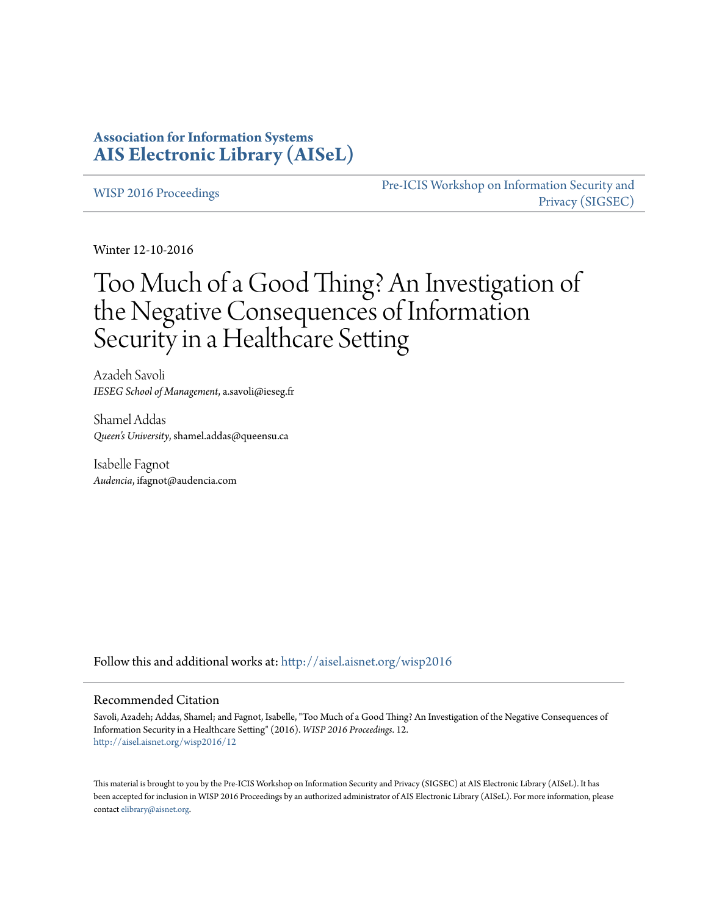## **Association for Information Systems [AIS Electronic Library \(AISeL\)](http://aisel.aisnet.org?utm_source=aisel.aisnet.org%2Fwisp2016%2F12&utm_medium=PDF&utm_campaign=PDFCoverPages)**

[WISP 2016 Proceedings](http://aisel.aisnet.org/wisp2016?utm_source=aisel.aisnet.org%2Fwisp2016%2F12&utm_medium=PDF&utm_campaign=PDFCoverPages)

[Pre-ICIS Workshop on Information Security and](http://aisel.aisnet.org/sigsec?utm_source=aisel.aisnet.org%2Fwisp2016%2F12&utm_medium=PDF&utm_campaign=PDFCoverPages) [Privacy \(SIGSEC\)](http://aisel.aisnet.org/sigsec?utm_source=aisel.aisnet.org%2Fwisp2016%2F12&utm_medium=PDF&utm_campaign=PDFCoverPages)

Winter 12-10-2016

# Too Much of a Good Thing? An Investigation of the Negative Consequences of Information Security in a Healthcare Setting

Azadeh Savoli *IESEG School of Management*, a.savoli@ieseg.fr

Shamel Addas *Queen's University*, shamel.addas@queensu.ca

Isabelle Fagnot *Audencia*, ifagnot@audencia.com

Follow this and additional works at: [http://aisel.aisnet.org/wisp2016](http://aisel.aisnet.org/wisp2016?utm_source=aisel.aisnet.org%2Fwisp2016%2F12&utm_medium=PDF&utm_campaign=PDFCoverPages)

#### Recommended Citation

Savoli, Azadeh; Addas, Shamel; and Fagnot, Isabelle, "Too Much of a Good Thing? An Investigation of the Negative Consequences of Information Security in a Healthcare Setting" (2016). *WISP 2016 Proceedings*. 12. [http://aisel.aisnet.org/wisp2016/12](http://aisel.aisnet.org/wisp2016/12?utm_source=aisel.aisnet.org%2Fwisp2016%2F12&utm_medium=PDF&utm_campaign=PDFCoverPages)

This material is brought to you by the Pre-ICIS Workshop on Information Security and Privacy (SIGSEC) at AIS Electronic Library (AISeL). It has been accepted for inclusion in WISP 2016 Proceedings by an authorized administrator of AIS Electronic Library (AISeL). For more information, please contact [elibrary@aisnet.org.](mailto:elibrary@aisnet.org%3E)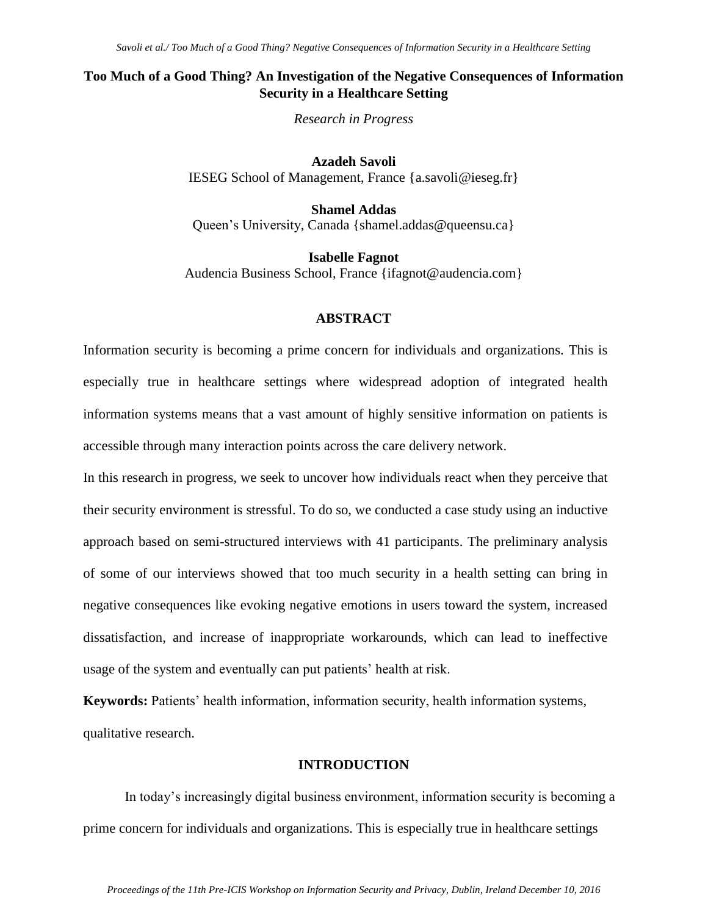## **Too Much of a Good Thing? An Investigation of the Negative Consequences of Information Security in a Healthcare Setting**

*Research in Progress*

**Azadeh Savoli** IESEG School of Management, France {a.savoli@ieseg.fr}

**Shamel Addas** Queen's University, Canada {shamel.addas@queensu.ca}

**Isabelle Fagnot** Audencia Business School, France {ifagnot@audencia.com}

#### **ABSTRACT**

Information security is becoming a prime concern for individuals and organizations. This is especially true in healthcare settings where widespread adoption of integrated health information systems means that a vast amount of highly sensitive information on patients is accessible through many interaction points across the care delivery network.

In this research in progress, we seek to uncover how individuals react when they perceive that their security environment is stressful. To do so, we conducted a case study using an inductive approach based on semi-structured interviews with 41 participants. The preliminary analysis of some of our interviews showed that too much security in a health setting can bring in negative consequences like evoking negative emotions in users toward the system, increased dissatisfaction, and increase of inappropriate workarounds, which can lead to ineffective usage of the system and eventually can put patients' health at risk.

**Keywords:** Patients' health information, information security, health information systems, qualitative research.

#### **INTRODUCTION**

In today's increasingly digital business environment, information security is becoming a prime concern for individuals and organizations. This is especially true in healthcare settings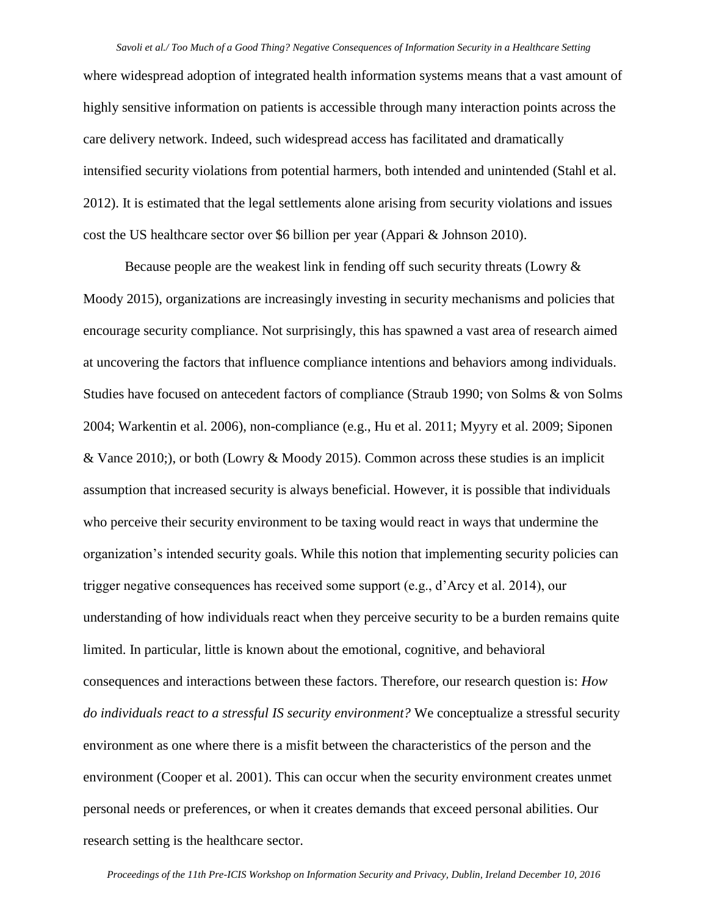where widespread adoption of integrated health information systems means that a vast amount of highly sensitive information on patients is accessible through many interaction points across the care delivery network. Indeed, such widespread access has facilitated and dramatically intensified security violations from potential harmers, both intended and unintended (Stahl et al. 2012). It is estimated that the legal settlements alone arising from security violations and issues cost the US healthcare sector over \$6 billion per year (Appari & Johnson 2010).

Because people are the weakest link in fending off such security threats (Lowry & Moody 2015), organizations are increasingly investing in security mechanisms and policies that encourage security compliance. Not surprisingly, this has spawned a vast area of research aimed at uncovering the factors that influence compliance intentions and behaviors among individuals. Studies have focused on antecedent factors of compliance (Straub 1990; von Solms & von Solms 2004; Warkentin et al. 2006), non-compliance (e.g., Hu et al. 2011; Myyry et al. 2009; Siponen & Vance 2010;), or both (Lowry & Moody 2015). Common across these studies is an implicit assumption that increased security is always beneficial. However, it is possible that individuals who perceive their security environment to be taxing would react in ways that undermine the organization's intended security goals. While this notion that implementing security policies can trigger negative consequences has received some support (e.g., d'Arcy et al. 2014), our understanding of how individuals react when they perceive security to be a burden remains quite limited. In particular, little is known about the emotional, cognitive, and behavioral consequences and interactions between these factors. Therefore, our research question is: *How do individuals react to a stressful IS security environment?* We conceptualize a stressful security environment as one where there is a misfit between the characteristics of the person and the environment (Cooper et al. 2001). This can occur when the security environment creates unmet personal needs or preferences, or when it creates demands that exceed personal abilities. Our research setting is the healthcare sector.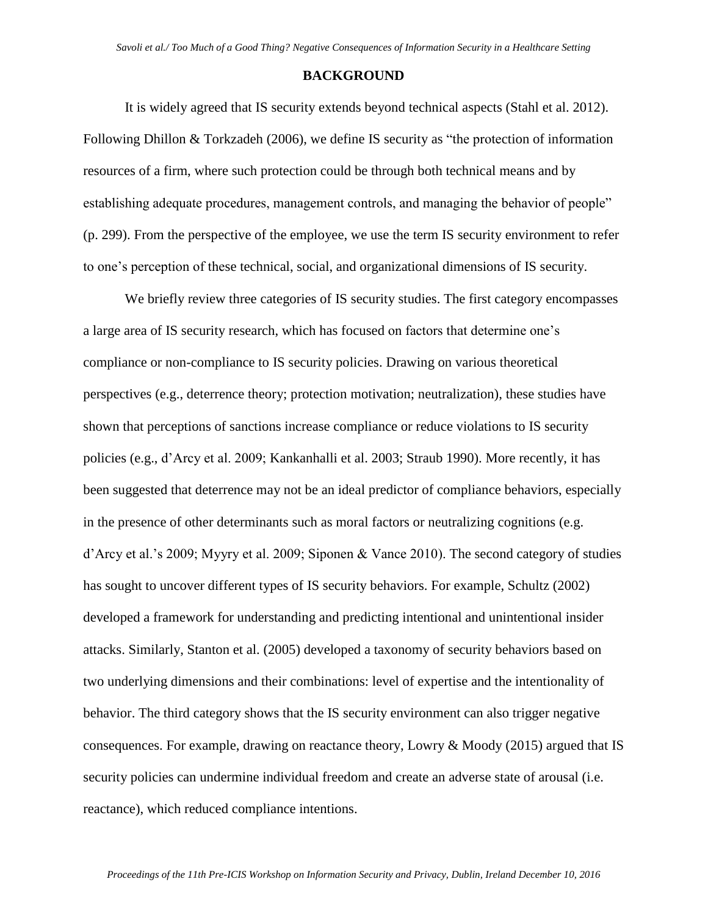#### **BACKGROUND**

It is widely agreed that IS security extends beyond technical aspects (Stahl et al. 2012). Following Dhillon & Torkzadeh (2006), we define IS security as "the protection of information resources of a firm, where such protection could be through both technical means and by establishing adequate procedures, management controls, and managing the behavior of people" (p. 299). From the perspective of the employee, we use the term IS security environment to refer to one's perception of these technical, social, and organizational dimensions of IS security.

We briefly review three categories of IS security studies. The first category encompasses a large area of IS security research, which has focused on factors that determine one's compliance or non-compliance to IS security policies. Drawing on various theoretical perspectives (e.g., deterrence theory; protection motivation; neutralization), these studies have shown that perceptions of sanctions increase compliance or reduce violations to IS security policies (e.g., d'Arcy et al. 2009; Kankanhalli et al. 2003; Straub 1990). More recently, it has been suggested that deterrence may not be an ideal predictor of compliance behaviors, especially in the presence of other determinants such as moral factors or neutralizing cognitions (e.g. d'Arcy et al.'s 2009; Myyry et al. 2009; Siponen & Vance 2010). The second category of studies has sought to uncover different types of IS security behaviors. For example, Schultz (2002) developed a framework for understanding and predicting intentional and unintentional insider attacks. Similarly, Stanton et al. (2005) developed a taxonomy of security behaviors based on two underlying dimensions and their combinations: level of expertise and the intentionality of behavior. The third category shows that the IS security environment can also trigger negative consequences. For example, drawing on reactance theory, Lowry & Moody (2015) argued that IS security policies can undermine individual freedom and create an adverse state of arousal (i.e. reactance), which reduced compliance intentions.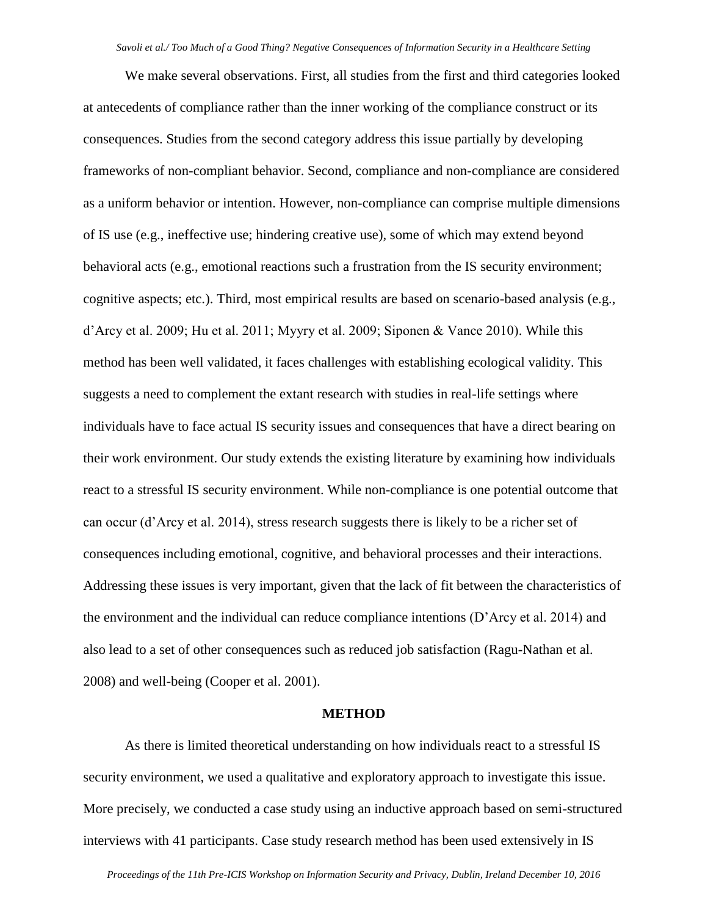We make several observations. First, all studies from the first and third categories looked at antecedents of compliance rather than the inner working of the compliance construct or its consequences. Studies from the second category address this issue partially by developing frameworks of non-compliant behavior. Second, compliance and non-compliance are considered as a uniform behavior or intention. However, non-compliance can comprise multiple dimensions of IS use (e.g., ineffective use; hindering creative use), some of which may extend beyond behavioral acts (e.g., emotional reactions such a frustration from the IS security environment; cognitive aspects; etc.). Third, most empirical results are based on scenario-based analysis (e.g., d'Arcy et al. 2009; Hu et al. 2011; Myyry et al. 2009; Siponen & Vance 2010). While this method has been well validated, it faces challenges with establishing ecological validity. This suggests a need to complement the extant research with studies in real-life settings where individuals have to face actual IS security issues and consequences that have a direct bearing on their work environment. Our study extends the existing literature by examining how individuals react to a stressful IS security environment. While non-compliance is one potential outcome that can occur (d'Arcy et al. 2014), stress research suggests there is likely to be a richer set of consequences including emotional, cognitive, and behavioral processes and their interactions. Addressing these issues is very important, given that the lack of fit between the characteristics of the environment and the individual can reduce compliance intentions (D'Arcy et al. 2014) and also lead to a set of other consequences such as reduced job satisfaction (Ragu-Nathan et al. 2008) and well-being (Cooper et al. 2001).

#### **METHOD**

As there is limited theoretical understanding on how individuals react to a stressful IS security environment, we used a qualitative and exploratory approach to investigate this issue. More precisely, we conducted a case study using an inductive approach based on semi-structured interviews with 41 participants. Case study research method has been used extensively in IS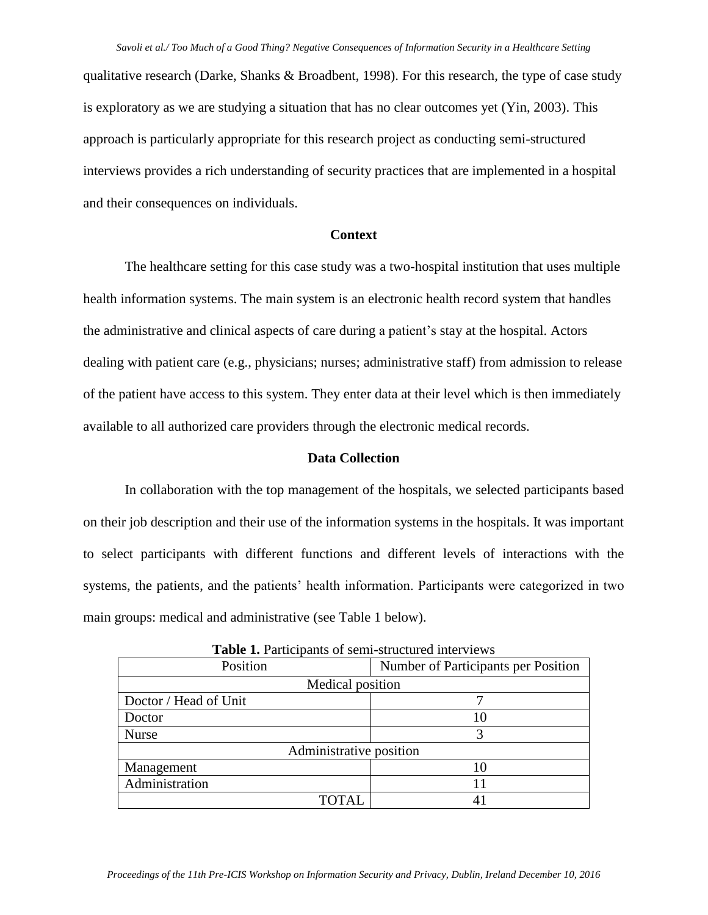qualitative research (Darke, Shanks & Broadbent, 1998). For this research, the type of case study is exploratory as we are studying a situation that has no clear outcomes yet (Yin, 2003). This approach is particularly appropriate for this research project as conducting semi-structured interviews provides a rich understanding of security practices that are implemented in a hospital and their consequences on individuals.

#### **Context**

The healthcare setting for this case study was a two-hospital institution that uses multiple health information systems. The main system is an electronic health record system that handles the administrative and clinical aspects of care during a patient's stay at the hospital. Actors dealing with patient care (e.g., physicians; nurses; administrative staff) from admission to release of the patient have access to this system. They enter data at their level which is then immediately available to all authorized care providers through the electronic medical records.

#### **Data Collection**

In collaboration with the top management of the hospitals, we selected participants based on their job description and their use of the information systems in the hospitals. It was important to select participants with different functions and different levels of interactions with the systems, the patients, and the patients' health information. Participants were categorized in two main groups: medical and administrative (see Table 1 below).

| Position                | Number of Participants per Position |
|-------------------------|-------------------------------------|
| Medical position        |                                     |
| Doctor / Head of Unit   |                                     |
| Doctor                  |                                     |
| <b>Nurse</b>            |                                     |
| Administrative position |                                     |
| Management              | 10                                  |
| Administration          |                                     |
| TOTAL                   |                                     |

**Table 1.** Participants of semi-structured interviews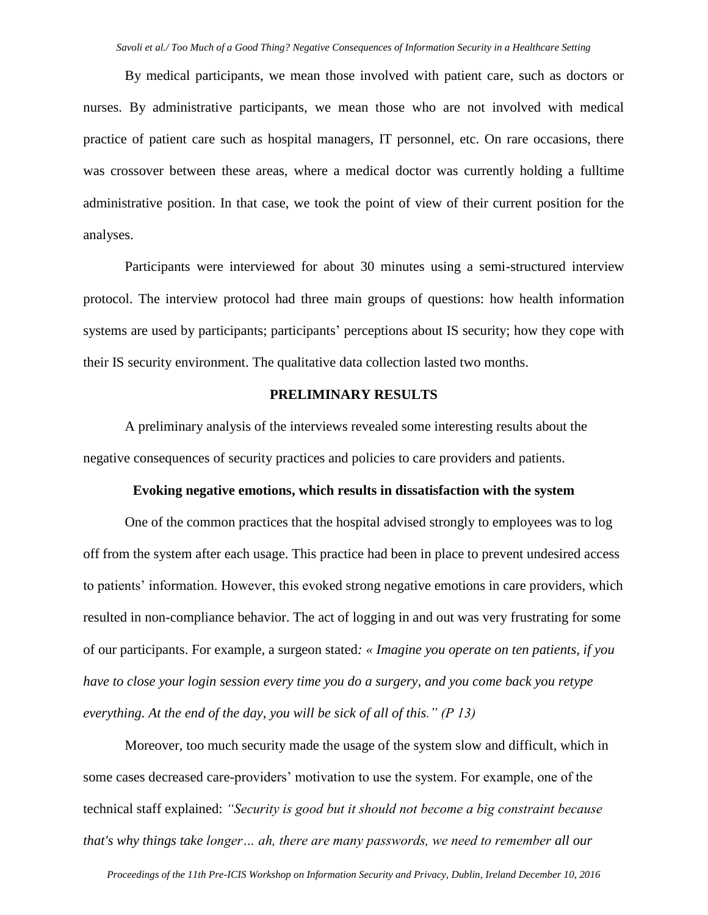By medical participants, we mean those involved with patient care, such as doctors or nurses. By administrative participants, we mean those who are not involved with medical practice of patient care such as hospital managers, IT personnel, etc. On rare occasions, there was crossover between these areas, where a medical doctor was currently holding a fulltime administrative position. In that case, we took the point of view of their current position for the analyses.

Participants were interviewed for about 30 minutes using a semi-structured interview protocol. The interview protocol had three main groups of questions: how health information systems are used by participants; participants' perceptions about IS security; how they cope with their IS security environment. The qualitative data collection lasted two months.

#### **PRELIMINARY RESULTS**

A preliminary analysis of the interviews revealed some interesting results about the negative consequences of security practices and policies to care providers and patients.

#### **Evoking negative emotions, which results in dissatisfaction with the system**

One of the common practices that the hospital advised strongly to employees was to log off from the system after each usage. This practice had been in place to prevent undesired access to patients' information. However, this evoked strong negative emotions in care providers, which resulted in non-compliance behavior. The act of logging in and out was very frustrating for some of our participants. For example, a surgeon stated*: « Imagine you operate on ten patients, if you have to close your login session every time you do a surgery, and you come back you retype everything. At the end of the day, you will be sick of all of this." (P 13)*

Moreover, too much security made the usage of the system slow and difficult, which in some cases decreased care-providers' motivation to use the system. For example, one of the technical staff explained: *"Security is good but it should not become a big constraint because that's why things take longer… ah, there are many passwords, we need to remember all our*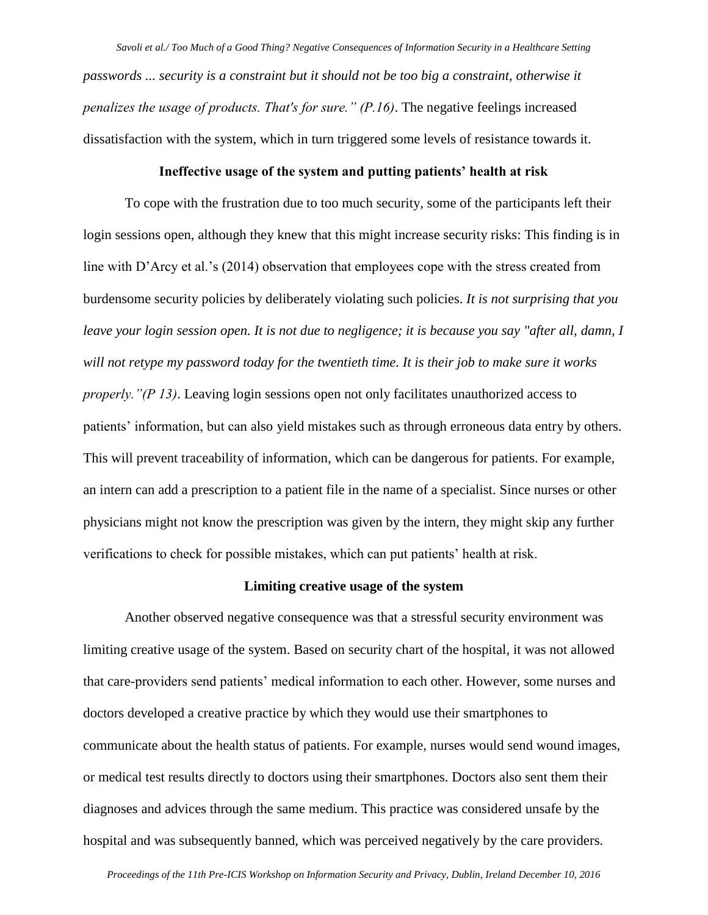*Savoli et al./ Too Much of a Good Thing? Negative Consequences of Information Security in a Healthcare Setting passwords ... security is a constraint but it should not be too big a constraint, otherwise it penalizes the usage of products. That's for sure." (P.16)*. The negative feelings increased dissatisfaction with the system, which in turn triggered some levels of resistance towards it.

## **Ineffective usage of the system and putting patients' health at risk**

To cope with the frustration due to too much security, some of the participants left their login sessions open, although they knew that this might increase security risks: This finding is in line with D'Arcy et al.'s (2014) observation that employees cope with the stress created from burdensome security policies by deliberately violating such policies. *It is not surprising that you leave your login session open. It is not due to negligence; it is because you say "after all, damn, I will not retype my password today for the twentieth time. It is their job to make sure it works properly."(P 13)*. Leaving login sessions open not only facilitates unauthorized access to patients' information, but can also yield mistakes such as through erroneous data entry by others. This will prevent traceability of information, which can be dangerous for patients. For example, an intern can add a prescription to a patient file in the name of a specialist. Since nurses or other physicians might not know the prescription was given by the intern, they might skip any further verifications to check for possible mistakes, which can put patients' health at risk.

#### **Limiting creative usage of the system**

Another observed negative consequence was that a stressful security environment was limiting creative usage of the system. Based on security chart of the hospital, it was not allowed that care-providers send patients' medical information to each other. However, some nurses and doctors developed a creative practice by which they would use their smartphones to communicate about the health status of patients. For example, nurses would send wound images, or medical test results directly to doctors using their smartphones. Doctors also sent them their diagnoses and advices through the same medium. This practice was considered unsafe by the hospital and was subsequently banned, which was perceived negatively by the care providers.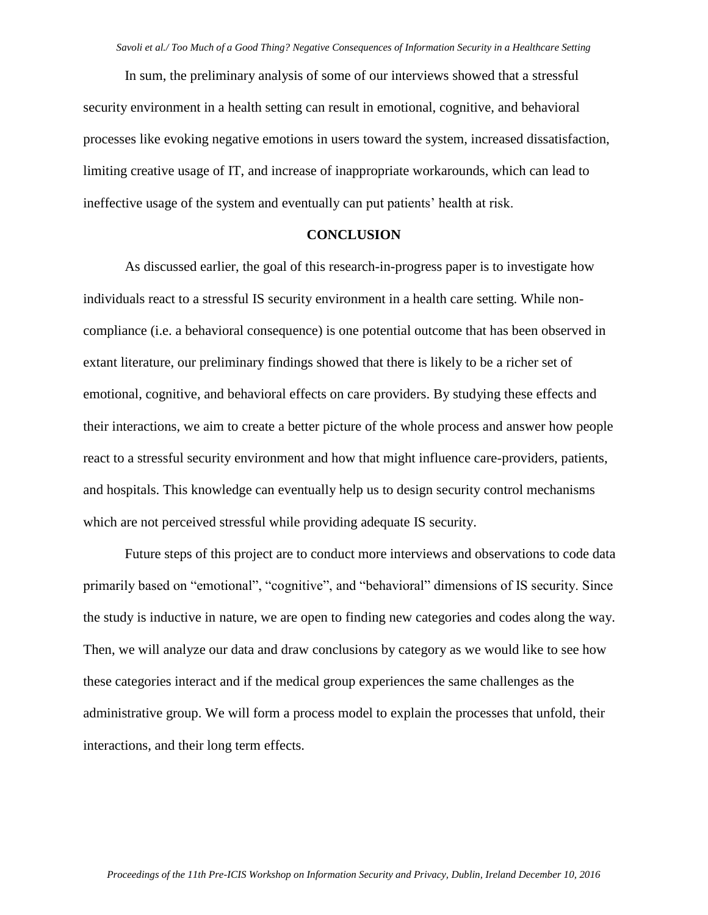In sum, the preliminary analysis of some of our interviews showed that a stressful security environment in a health setting can result in emotional, cognitive, and behavioral processes like evoking negative emotions in users toward the system, increased dissatisfaction, limiting creative usage of IT, and increase of inappropriate workarounds, which can lead to ineffective usage of the system and eventually can put patients' health at risk.

#### **CONCLUSION**

As discussed earlier, the goal of this research-in-progress paper is to investigate how individuals react to a stressful IS security environment in a health care setting. While noncompliance (i.e. a behavioral consequence) is one potential outcome that has been observed in extant literature, our preliminary findings showed that there is likely to be a richer set of emotional, cognitive, and behavioral effects on care providers. By studying these effects and their interactions, we aim to create a better picture of the whole process and answer how people react to a stressful security environment and how that might influence care-providers, patients, and hospitals. This knowledge can eventually help us to design security control mechanisms which are not perceived stressful while providing adequate IS security.

Future steps of this project are to conduct more interviews and observations to code data primarily based on "emotional", "cognitive", and "behavioral" dimensions of IS security. Since the study is inductive in nature, we are open to finding new categories and codes along the way. Then, we will analyze our data and draw conclusions by category as we would like to see how these categories interact and if the medical group experiences the same challenges as the administrative group. We will form a process model to explain the processes that unfold, their interactions, and their long term effects.